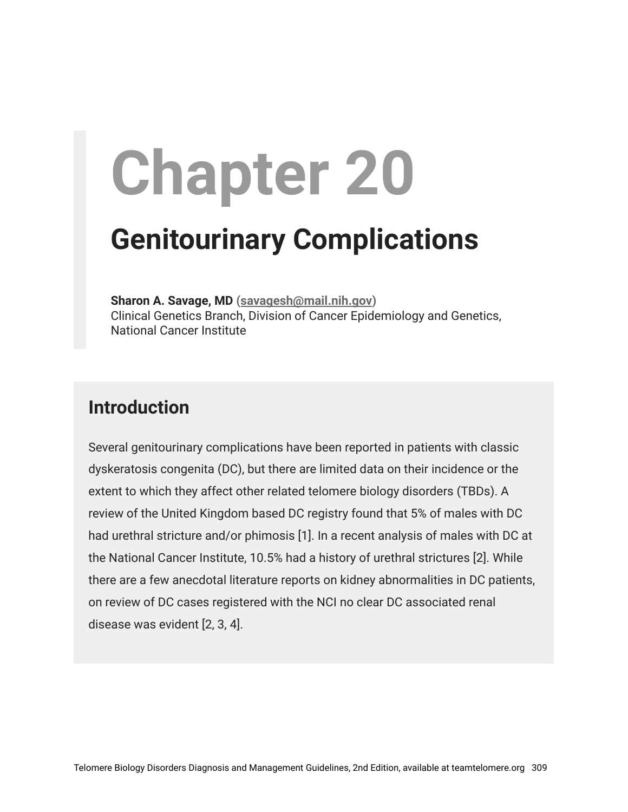# **Chapter 20**

# **Genitourinary Complications**

**Sharon A. Savage, MD ([savagesh@mail.nih.gov\)](mailto:savagesh@mail.nih.gov)** Clinical Genetics Branch, Division of Cancer Epidemiology and Genetics, National Cancer Institute

# **Introduction**

Several genitourinary complications have been reported in patients with classic dyskeratosis congenita (DC), but there are limited data on their incidence or the extent to which they affect other related telomere biology disorders (TBDs). A review of the United Kingdom based DC registry found that 5% of males with DC had urethral stricture and/or phimosis [1]. In a recent analysis of males with DC at the National Cancer Institute, 10.5% had a history of urethral strictures [2]. While there are a few anecdotal literature reports on kidney abnormalities in DC patients, on review of DC cases registered with the NCI no clear DC associated renal disease was evident [2, 3, 4].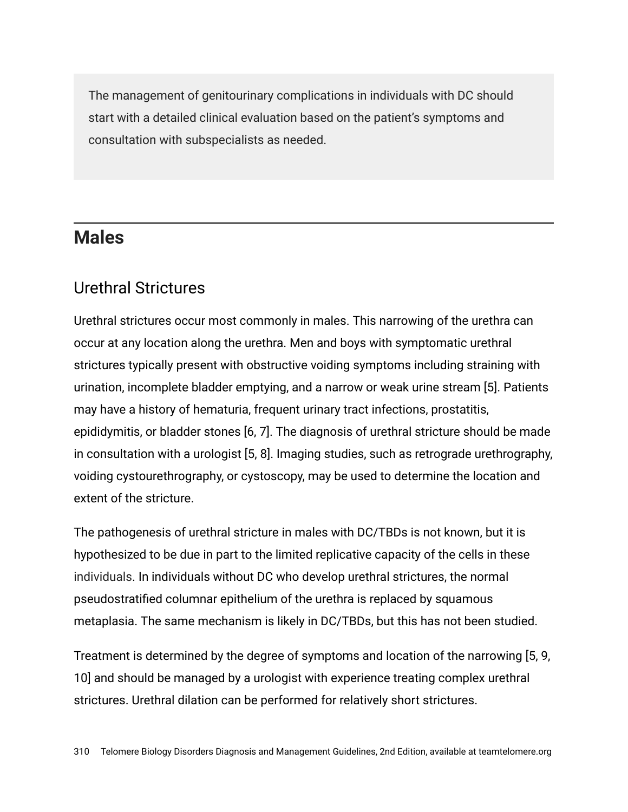The management of genitourinary complications in individuals with DC should start with a detailed clinical evaluation based on the patient's symptoms and consultation with subspecialists as needed.

#### **Males**

#### Urethral Strictures

Urethral strictures occur most commonly in males. This narrowing of the urethra can occur at any location along the urethra. Men and boys with symptomatic urethral strictures typically present with obstructive voiding symptoms including straining with urination, incomplete bladder emptying, and a narrow or weak urine stream [5]. Patients may have a history of hematuria, frequent urinary tract infections, prostatitis, epididymitis, or bladder stones [6, 7]. The diagnosis of urethral stricture should be made in consultation with a urologist [5, 8]. Imaging studies, such as retrograde urethrography, voiding cystourethrography, or cystoscopy, may be used to determine the location and extent of the stricture.

The pathogenesis of urethral stricture in males with DC/TBDs is not known, but it is hypothesized to be due in part to the limited replicative capacity of the cells in these individuals. In individuals without DC who develop urethral strictures, the normal pseudostratified columnar epithelium of the urethra is replaced by squamous metaplasia. The same mechanism is likely in DC/TBDs, but this has not been studied.

Treatment is determined by the degree of symptoms and location of the narrowing [5, 9, 10] and should be managed by a urologist with experience treating complex urethral strictures. Urethral dilation can be performed for relatively short strictures.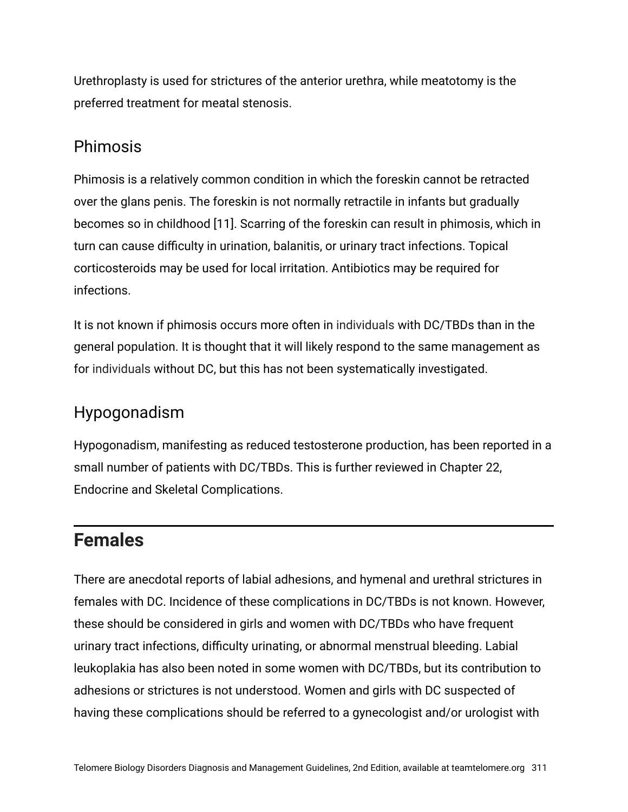Urethroplasty is used for strictures of the anterior urethra, while meatotomy is the preferred treatment for meatal stenosis.

#### Phimosis

Phimosis is a relatively common condition in which the foreskin cannot be retracted over the glans penis. The foreskin is not normally retractile in infants but gradually becomes so in childhood [11]. Scarring of the foreskin can result in phimosis, which in turn can cause difficulty in urination, balanitis, or urinary tract infections. Topical corticosteroids may be used for local irritation. Antibiotics may be required for infections.

It is not known if phimosis occurs more often in individuals with DC/TBDs than in the general population. It is thought that it will likely respond to the same management as for individuals without DC, but this has not been systematically investigated.

### Hypogonadism

Hypogonadism, manifesting as reduced testosterone production, has been reported in a small number of patients with DC/TBDs. This is further reviewed in Chapter 22, Endocrine and Skeletal Complications.

# **Females**

There are anecdotal reports of labial adhesions, and hymenal and urethral strictures in females with DC. Incidence of these complications in DC/TBDs is not known. However, these should be considered in girls and women with DC/TBDs who have frequent urinary tract infections, difficulty urinating, or abnormal menstrual bleeding. Labial leukoplakia has also been noted in some women with DC/TBDs, but its contribution to adhesions or strictures is not understood. Women and girls with DC suspected of having these complications should be referred to a gynecologist and/or urologist with